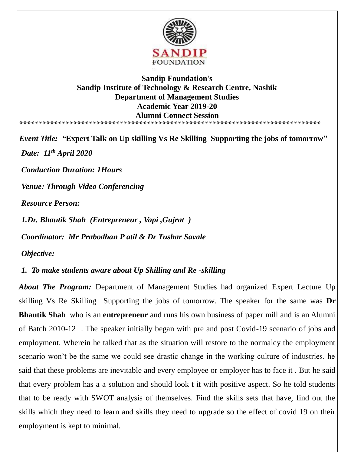

## **Sandip Foundation's Sandip Institute of Technology & Research Centre, Nashik Department of Management Studies Academic Year 2019-20 Alumni Connect Session \*\*\*\*\*\*\*\*\*\*\*\*\*\*\*\*\*\*\*\*\*\*\*\*\*\*\*\*\*\*\*\*\*\*\*\*\*\*\*\*\*\*\*\*\*\*\*\*\*\*\*\*\*\*\*\*\*\*\*\*\*\*\*\*\*\*\*\*\*\*\*\*\*\*\*\*\*\***

*Event Title: "***Expert Talk on Up skilling Vs Re Skilling Supporting the jobs of tomorrow"** *Date: 11th April 2020 Conduction Duration: 1Hours Venue: Through Video Conferencing Resource Person: 1.Dr. Bhautik Shah (Entrepreneur , Vapi ,Gujrat )*

*Coordinator: Mr Prabodhan P atil & Dr Tushar Savale* 

*Objective:*

*1. To make students aware about Up Skilling and Re -skilling* 

*About The Program:* Department of Management Studies had organized Expert Lecture Up skilling Vs Re Skilling Supporting the jobs of tomorrow. The speaker for the same was **Dr Bhautik Sha**h who is an **entrepreneur** and runs his own business of paper mill and is an Alumni of Batch 2010-12 . The speaker initially began with pre and post Covid-19 scenario of jobs and employment. Wherein he talked that as the situation will restore to the normalcy the employment scenario won't be the same we could see drastic change in the working culture of industries. he said that these problems are inevitable and every employee or employer has to face it . But he said that every problem has a a solution and should look t it with positive aspect. So he told students that to be ready with SWOT analysis of themselves. Find the skills sets that have, find out the skills which they need to learn and skills they need to upgrade so the effect of covid 19 on their employment is kept to minimal.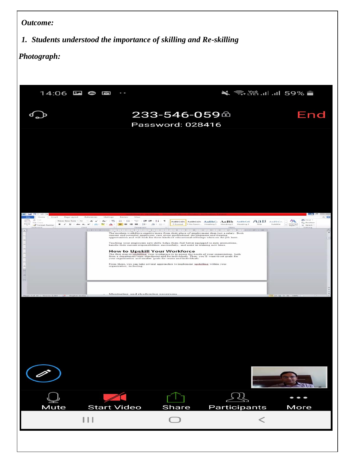## *Outcome:*

## *1. Students understood the importance of skilling and Re-skilling*

## *Photograph:*

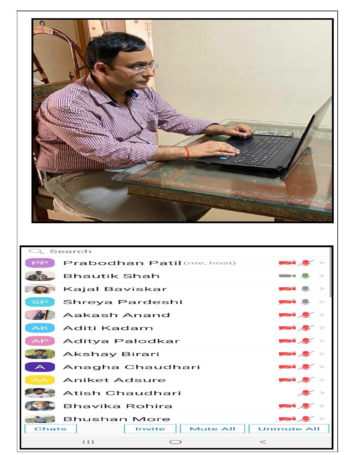